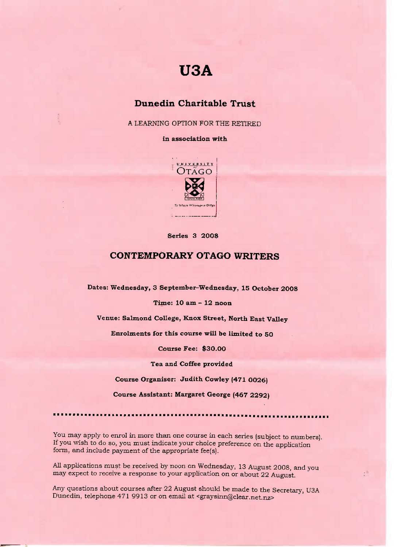# **USA**

### **Dunedin Charitable Trust**

A LEARNING OPTION FOR THE RETIRED

#### **in association with**



**Series 3 20O8**

## **CONTEMPORARY OTAGO WRITERS**

**Dates: Wednesday, 3 September-Wednesday, 15 October 2008**

**Time: 10 am - 12 noon**

**Venue: Salmond** College, **Knox Street, North East Valley**

**Enrolments for this course will be limited to SO**

**Course Fee:** \$30.00

**Tea and Coffee provided**

**Course Organiser: Judith Cowley (471 O026)**

**Course Assistant: Margaret George (467 2292)**

•••••••••••••••••••••••••

You may apply to enrol in more than one course in each series (subject to numbers). If you wish to do so, you must indicate your choice preference on the application form, and include payment of the appropriate fee(s).

All applications must be received by noon on Wednesday, 13 August 2008, and you may expect to receive a response to your application on or about 22 August.

 $\bar{\alpha}$ 

Any questions about courses after 22 August should be made to the Secretary, U3A Dunedin, telephone 471 9913 or on email at <graysinn@clear.net.nz>